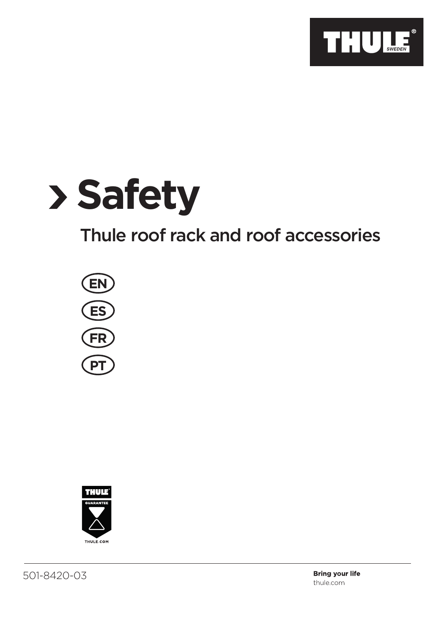

# **Safety**

# Thule roof rack and roof accessories



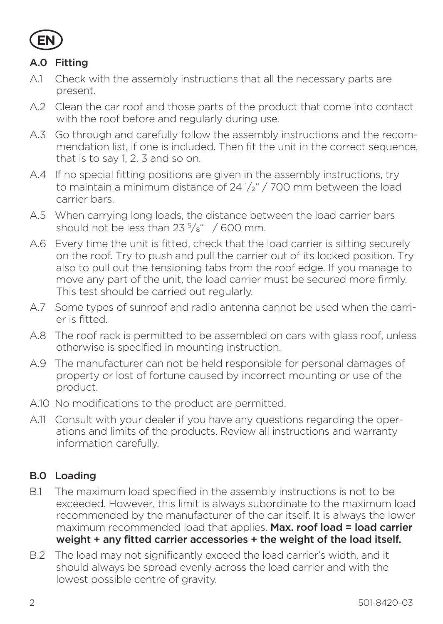

# A.0 Fitting

- A.1 Check with the assembly instructions that all the necessary parts are present.
- A.2 Clean the car roof and those parts of the product that come into contact with the roof before and regularly during use.
- A.3 Go through and carefully follow the assembly instructions and the recommendation list, if one is included. Then fit the unit in the correct sequence, that is to say 1, 2, 3 and so on.
- A.4 If no special fitting positions are given in the assembly instructions, try to maintain a minimum distance of 24  $\frac{1}{2}$  / 700 mm between the load carrier bars.
- A.5 When carrying long loads, the distance between the load carrier bars should not be less than  $23<sup>5</sup>/s''$  / 600 mm.
- A.6 Every time the unit is fitted, check that the load carrier is sitting securely on the roof. Try to push and pull the carrier out of its locked position. Try also to pull out the tensioning tabs from the roof edge. If you manage to move any part of the unit, the load carrier must be secured more firmly. This test should be carried out regularly.
- A.7 Some types of sunroof and radio antenna cannot be used when the carrier is fitted.
- A.8 The roof rack is permitted to be assembled on cars with glass roof, unless otherwise is specified in mounting instruction.
- A.9 The manufacturer can not be held responsible for personal damages of property or lost of fortune caused by incorrect mounting or use of the product.
- A.10 No modifications to the product are permitted.
- A.11 Consult with your dealer if you have any questions regarding the operations and limits of the products. Review all instructions and warranty information carefully.

# B.0 Loading

- B.1 The maximum load specified in the assembly instructions is not to be exceeded. However, this limit is always subordinate to the maximum load recommended by the manufacturer of the car itself. It is always the lower maximum recommended load that applies. Max. roof load = load carrier weight + any fitted carrier accessories + the weight of the load itself.
- B.2 The load may not significantly exceed the load carrier's width, and it should always be spread evenly across the load carrier and with the lowest possible centre of gravity.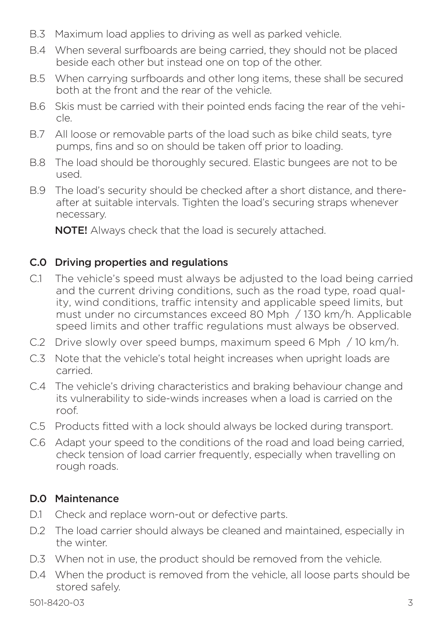- B.3 Maximum load applies to driving as well as parked vehicle.
- B.4 When several surfboards are being carried, they should not be placed beside each other but instead one on top of the other.
- B.5 When carrying surfboards and other long items, these shall be secured both at the front and the rear of the vehicle.
- B.6 Skis must be carried with their pointed ends facing the rear of the vehicle.
- B.7 All loose or removable parts of the load such as bike child seats, tyre pumps, fins and so on should be taken off prior to loading.
- B.8 The load should be thoroughly secured. Elastic bungees are not to be used.
- B.9 The load's security should be checked after a short distance, and thereafter at suitable intervals. Tighten the load's securing straps whenever necessary.

NOTE! Always check that the load is securely attached.

# C.0 Driving properties and regulations

- C.1 The vehicle's speed must always be adjusted to the load being carried and the current driving conditions, such as the road type, road quality, wind conditions, traffic intensity and applicable speed limits, but must under no circumstances exceed 80 Mph / 130 km/h. Applicable speed limits and other traffic regulations must always be observed.
- C.2 Drive slowly over speed bumps, maximum speed 6 Mph / 10 km/h.
- C.3 Note that the vehicle's total height increases when upright loads are carried.
- C.4 The vehicle's driving characteristics and braking behaviour change and its vulnerability to side-winds increases when a load is carried on the roof.
- C.5 Products fitted with a lock should always be locked during transport.
- C.6 Adapt your speed to the conditions of the road and load being carried, check tension of load carrier frequently, especially when travelling on rough roads.

# D.0 Maintenance

- D.1 Check and replace worn-out or defective parts.
- D.2 The load carrier should always be cleaned and maintained, especially in the winter.
- D.3 When not in use, the product should be removed from the vehicle.
- D.4 When the product is removed from the vehicle, all loose parts should be stored safely.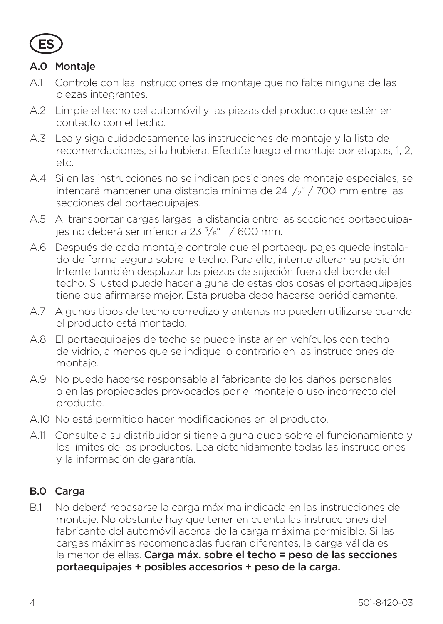

#### A.0 Montaje

- A.1 Controle con las instrucciones de montaje que no falte ninguna de las piezas integrantes.
- A.2 Limpie el techo del automóvil y las piezas del producto que estén en contacto con el techo.
- A.3 Lea y siga cuidadosamente las instrucciones de montaje y la lista de recomendaciones, si la hubiera. Efectúe luego el montaje por etapas, 1, 2, etc.
- A.4 Si en las instrucciones no se indican posiciones de montaje especiales, se intentará mantener una distancia mínima de 24 <sup>1</sup> /2" / 700 mm entre las secciones del portaequipajes.
- A.5 Al transportar cargas largas la distancia entre las secciones portaequipajes no deberá ser inferior a 23 <sup>5</sup> /8" / 600 mm.
- A.6 Después de cada montaje controle que el portaequipajes quede instalado de forma segura sobre le techo. Para ello, intente alterar su posición. Intente también desplazar las piezas de sujeción fuera del borde del techo. Si usted puede hacer alguna de estas dos cosas el portaequipajes tiene que afirmarse mejor. Esta prueba debe hacerse periódicamente.
- A.7 Algunos tipos de techo corredizo y antenas no pueden utilizarse cuando el producto está montado.
- A.8 El portaequipajes de techo se puede instalar en vehículos con techo de vidrio, a menos que se indique lo contrario en las instrucciones de montaje.
- A.9 No puede hacerse responsable al fabricante de los daños personales o en las propiedades provocados por el montaje o uso incorrecto del producto.
- A.10 No está permitido hacer modificaciones en el producto.
- A.11 Consulte a su distribuidor si tiene alguna duda sobre el funcionamiento y los límites de los productos. Lea detenidamente todas las instrucciones y la información de garantía.

# B.0 Carga

B.1 No deberá rebasarse la carga máxima indicada en las instrucciones de montaje. No obstante hay que tener en cuenta las instrucciones del fabricante del automóvil acerca de la carga máxima permisible. Si las cargas máximas recomendadas fueran diferentes, la carga válida es la menor de ellas. Carga máx. sobre el techo = peso de las secciones portaequipajes + posibles accesorios + peso de la carga.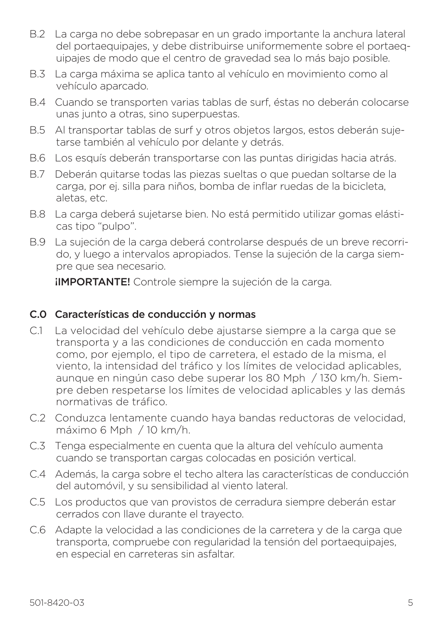- B.2 La carga no debe sobrepasar en un grado importante la anchura lateral del portaequipajes, y debe distribuirse uniformemente sobre el portaequipajes de modo que el centro de gravedad sea lo más bajo posible.
- B.3 La carga máxima se aplica tanto al vehículo en movimiento como al vehículo aparcado.
- B.4 Cuando se transporten varias tablas de surf, éstas no deberán colocarse unas junto a otras, sino superpuestas.
- B.5 Al transportar tablas de surf y otros objetos largos, estos deberán sujetarse también al vehículo por delante y detrás.
- B.6 Los esquís deberán transportarse con las puntas dirigidas hacia atrás.
- B.7 Deberán quitarse todas las piezas sueltas o que puedan soltarse de la carga, por ej. silla para niños, bomba de inflar ruedas de la bicicleta, aletas, etc.
- B.8 La carga deberá sujetarse bien. No está permitido utilizar gomas elásticas tipo "pulpo".
- B.9 La sujeción de la carga deberá controlarse después de un breve recorrido, y luego a intervalos apropiados. Tense la sujeción de la carga siempre que sea necesario.

**IIMPORTANTE!** Controle siempre la sujeción de la carga.

#### C.0 Características de conducción y normas

- C.1 La velocidad del vehículo debe ajustarse siempre a la carga que se transporta y a las condiciones de conducción en cada momento como, por ejemplo, el tipo de carretera, el estado de la misma, el viento, la intensidad del tráfico y los límites de velocidad aplicables, aunque en ningún caso debe superar los 80 Mph / 130 km/h. Siempre deben respetarse los límites de velocidad aplicables y las demás normativas de tráfico.
- C.2 Conduzca lentamente cuando haya bandas reductoras de velocidad, máximo 6 Mph / 10 km/h.
- C.3 Tenga especialmente en cuenta que la altura del vehículo aumenta cuando se transportan cargas colocadas en posición vertical.
- C.4 Además, la carga sobre el techo altera las características de conducción del automóvil, y su sensibilidad al viento lateral.
- C.5 Los productos que van provistos de cerradura siempre deberán estar cerrados con llave durante el trayecto.
- C.6 Adapte la velocidad a las condiciones de la carretera y de la carga que transporta, compruebe con regularidad la tensión del portaequipajes, en especial en carreteras sin asfaltar.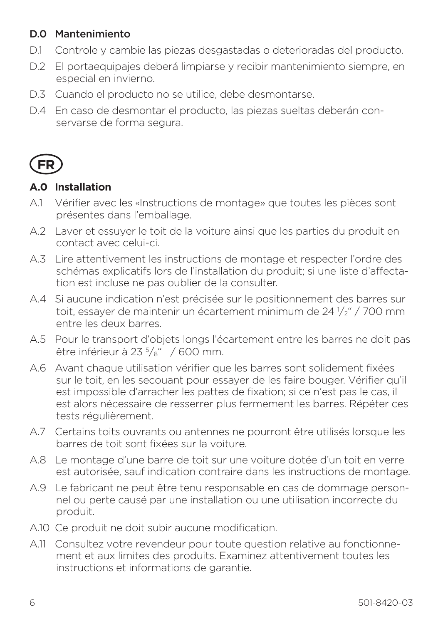# D.0 Mantenimiento

- D.1 Controle y cambie las piezas desgastadas o deterioradas del producto.
- D.2 El portaequipajes deberá limpiarse y recibir mantenimiento siempre, en especial en invierno.
- D.3 Cuando el producto no se utilice, debe desmontarse.
- D.4 En caso de desmontar el producto, las piezas sueltas deberán conservarse de forma segura.



#### **A.0 Installation**

- A.1 Vérifier avec les «Instructions de montage» que toutes les pièces sont présentes dans l'emballage.
- A.2 Laver et essuyer le toit de la voiture ainsi que les parties du produit en contact avec celui-ci.
- A.3 Lire attentivement les instructions de montage et respecter l'ordre des schémas explicatifs lors de l'installation du produit; si une liste d'affectation est incluse ne pas oublier de la consulter.
- A.4 Si aucune indication n'est précisée sur le positionnement des barres sur toit, essayer de maintenir un écartement minimum de 24 <sup>1</sup> /2" / 700 mm entre les deux barres.
- A.5 Pour le transport d'objets longs l'écartement entre les barres ne doit pas être inférieur à 23 <sup>5</sup> /8" / 600 mm.
- A.6 Avant chaque utilisation vérifier que les barres sont solidement fixées sur le toit, en les secouant pour essayer de les faire bouger. Vérifier qu'il est impossible d'arracher les pattes de fixation; si ce n'est pas le cas, il est alors nécessaire de resserrer plus fermement les barres. Répéter ces tests régulièrement.
- A.7 Certains toits ouvrants ou antennes ne pourront être utilisés lorsque les barres de toit sont fixées sur la voiture.
- A.8 Le montage d'une barre de toit sur une voiture dotée d'un toit en verre est autorisée, sauf indication contraire dans les instructions de montage.
- A.9 Le fabricant ne peut être tenu responsable en cas de dommage personnel ou perte causé par une installation ou une utilisation incorrecte du produit.
- A.10 Ce produit ne doit subir aucune modification.
- A.11 Consultez votre revendeur pour toute question relative au fonctionnement et aux limites des produits. Examinez attentivement toutes les instructions et informations de garantie.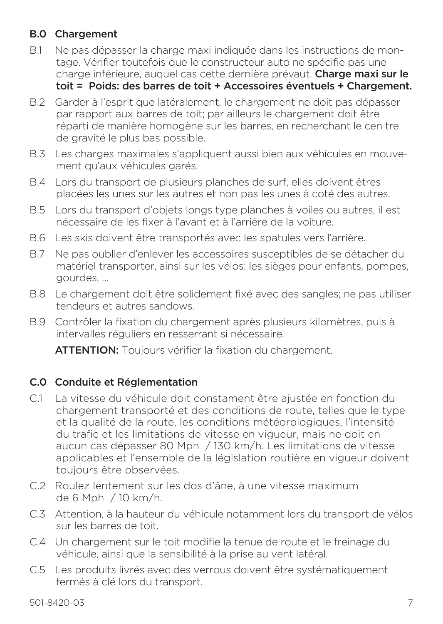#### B.0 Chargement

- B.1 Ne pas dépasser la charge maxi indiquée dans les instructions de montage. Vérifier toutefois que le constructeur auto ne spécifie pas une charge inférieure, auquel cas cette dernière prévaut. Charge maxi sur le toit = Poids: des barres de toit + Accessoires éventuels + Chargement.
- B.2 Garder à l'esprit que latéralement, le chargement ne doit pas dépasser par rapport aux barres de toit; par ailleurs le chargement doit être réparti de manière homogène sur les barres, en recherchant le cen tre de gravité le plus bas possible.
- B.3 Les charges maximales s'appliquent aussi bien aux véhicules en mouvement qu'aux véhicules garés.
- B.4 Lors du transport de plusieurs planches de surf, elles doivent êtres placées les unes sur les autres et non pas les unes à coté des autres.
- B.5 Lors du transport d'objets longs type planches à voiles ou autres, il est nécessaire de les fixer à l'avant et à l'arrière de la voiture.
- B.6 Les skis doivent être transportés avec les spatules vers l'arrière.
- B.7 Ne pas oublier d'enlever les accessoires susceptibles de se détacher du matériel transporter, ainsi sur les vélos: les sièges pour enfants, pompes, gourdes, …
- B.8 Le chargement doit être solidement fixé avec des sangles; ne pas utiliser tendeurs et autres sandows.
- B.9 Contrôler la fixation du chargement après plusieurs kilomètres, puis à intervalles réguliers en resserrant si nécessaire.

ATTENTION: Toujours vérifier la fixation du chargement.

# C.0 Conduite et Réglementation

- C.1 La vitesse du véhicule doit constament être ajustée en fonction du chargement transporté et des conditions de route, telles que le type et la qualité de la route, les conditions météorologiques, l'intensité du trafic et les limitations de vitesse en vigueur, mais ne doit en aucun cas dépasser 80 Mph / 130 km/h. Les limitations de vitesse applicables et l'ensemble de la législation routière en vigueur doivent toujours être observées.
- C.2 Roulez lentement sur les dos d'âne, à une vitesse maximum de 6 Mph / 10 km/h.
- C.3 Attention, à la hauteur du véhicule notamment lors du transport de vélos sur les barres de toit.
- C.4 Un chargement sur le toit modifie la tenue de route et le freinage du véhicule, ainsi que la sensibilité à la prise au vent latéral.
- C.5 Les produits livrés avec des verrous doivent être systématiquement fermés à clé lors du transport.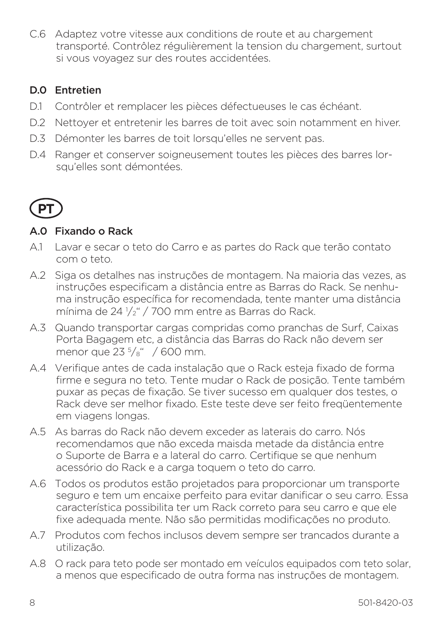C.6 Adaptez votre vitesse aux conditions de route et au chargement transporté. Contrôlez régulièrement la tension du chargement, surtout si vous voyagez sur des routes accidentées.

# D.0 Entretien

- D.1 Contrôler et remplacer les pièces défectueuses le cas échéant.
- D.2 Nettoyer et entretenir les barres de toit avec soin notamment en hiver.
- D.3 Démonter les barres de toit lorsqu'elles ne servent pas.
- D.4 Ranger et conserver soigneusement toutes les pièces des barres lorsqu'elles sont démontées.



#### A.0 Fixando o Rack

- A.1 Lavar e secar o teto do Carro e as partes do Rack que terão contato com o teto.
- A.2 Siga os detalhes nas instruções de montagem. Na maioria das vezes, as instruções especificam a distância entre as Barras do Rack. Se nenhuma instrução específica for recomendada, tente manter uma distância mínima de 24 <sup>1</sup> /2" / 700 mm entre as Barras do Rack.
- A.3 Quando transportar cargas compridas como pranchas de Surf, Caixas Porta Bagagem etc, a distância das Barras do Rack não devem ser menor que 23 <sup>5</sup> /8" / 600 mm.
- A.4 Verifique antes de cada instalação que o Rack esteja fixado de forma firme e segura no teto. Tente mudar o Rack de posição. Tente também puxar as peças de fixação. Se tiver sucesso em qualquer dos testes, o Rack deve ser melhor fixado. Este teste deve ser feito freqüentemente em viagens longas.
- A.5 As barras do Rack não devem exceder as laterais do carro. Nós recomendamos que não exceda maisda metade da distância entre o Suporte de Barra e a lateral do carro. Certifique se que nenhum acessório do Rack e a carga toquem o teto do carro.
- A.6 Todos os produtos estão projetados para proporcionar um transporte seguro e tem um encaixe perfeito para evitar danificar o seu carro. Essa característica possibilita ter um Rack correto para seu carro e que ele fixe adequada mente. Não são permitidas modificações no produto.
- A.7 Produtos com fechos inclusos devem sempre ser trancados durante a utilização.
- A.8 O rack para teto pode ser montado em veículos equipados com teto solar, a menos que especificado de outra forma nas instruções de montagem.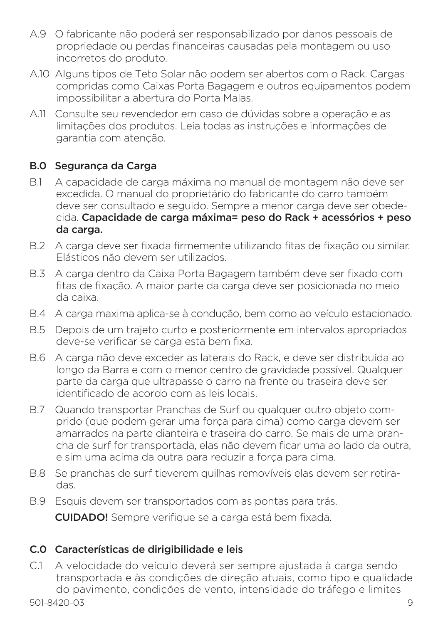- A.9 O fabricante não poderá ser responsabilizado por danos pessoais de propriedade ou perdas financeiras causadas pela montagem ou uso incorretos do produto.
- A.10 Alguns tipos de Teto Solar não podem ser abertos com o Rack. Cargas compridas como Caixas Porta Bagagem e outros equipamentos podem impossibilitar a abertura do Porta Malas.
- A.11 Consulte seu revendedor em caso de dúvidas sobre a operação e as limitações dos produtos. Leia todas as instruções e informações de garantia com atenção.

#### B.0 Segurança da Carga

- B.1 A capacidade de carga máxima no manual de montagem não deve ser excedida. O manual do proprietário do fabricante do carro também deve ser consultado e seguido. Sempre a menor carga deve ser obedecida. Capacidade de carga máxima= peso do Rack + acessórios + peso da carga.
- B.2 A carga deve ser fixada firmemente utilizando fitas de fixação ou similar. Elásticos não devem ser utilizados.
- B.3 A carga dentro da Caixa Porta Bagagem também deve ser fixado com fitas de fixação. A maior parte da carga deve ser posicionada no meio da caixa.
- B.4 A carga maxima aplica-se à condução, bem como ao veículo estacionado.
- B.5 Depois de um trajeto curto e posteriormente em intervalos apropriados deve-se verificar se carga esta bem fixa.
- B.6 A carga não deve exceder as laterais do Rack, e deve ser distribuída ao longo da Barra e com o menor centro de gravidade possível. Qualquer parte da carga que ultrapasse o carro na frente ou traseira deve ser identificado de acordo com as leis locais.
- B.7 Quando transportar Pranchas de Surf ou qualquer outro objeto comprido (que podem gerar uma força para cima) como carga devem ser amarrados na parte dianteira e traseira do carro. Se mais de uma prancha de surf for transportada, elas não devem ficar uma ao lado da outra, e sim uma acima da outra para reduzir a força para cima.
- B.8 Se pranchas de surf tieverem quilhas removíveis elas devem ser retiradas.
- B.9 Esquis devem ser transportados com as pontas para trás.

CUIDADO! Sempre verifique se a carga está bem fixada.

#### C.0 Características de dirigibilidade e leis

C.1 A velocidade do veículo deverá ser sempre ajustada à carga sendo transportada e às condições de direção atuais, como tipo e qualidade do pavimento, condições de vento, intensidade do tráfego e limites

501-8420-03 9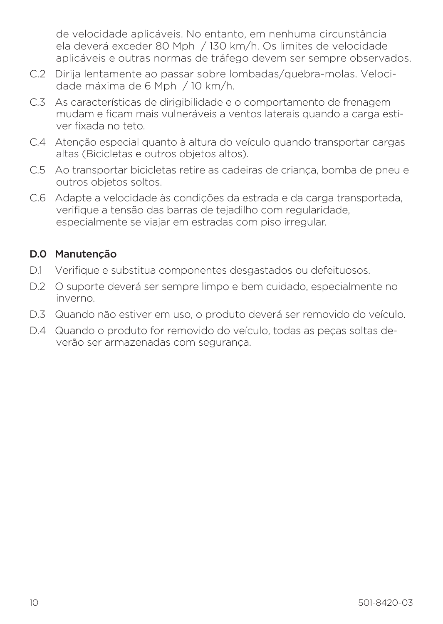de velocidade aplicáveis. No entanto, em nenhuma circunstância ela deverá exceder 80 Mph / 130 km/h. Os limites de velocidade aplicáveis e outras normas de tráfego devem ser sempre observados.

- C.2 Dirija lentamente ao passar sobre lombadas/quebra-molas. Velocidade máxima de 6 Mph / 10 km/h.
- C.3 As características de dirigibilidade e o comportamento de frenagem mudam e ficam mais vulneráveis a ventos laterais quando a carga estiver fixada no teto.
- C.4 Atenção especial quanto à altura do veículo quando transportar cargas altas (Bicicletas e outros objetos altos).
- C.5 Ao transportar bicicletas retire as cadeiras de criança, bomba de pneu e outros objetos soltos.
- C.6 Adapte a velocidade às condições da estrada e da carga transportada, verifique a tensão das barras de tejadilho com regularidade, especialmente se viajar em estradas com piso irregular.

#### D.0 Manutenção

- D.1 Verifique e substitua componentes desgastados ou defeituosos.
- D.2 O suporte deverá ser sempre limpo e bem cuidado, especialmente no inverno.
- D.3 Quando não estiver em uso, o produto deverá ser removido do veículo.
- D.4 Quando o produto for removido do veículo, todas as peças soltas deverão ser armazenadas com segurança.